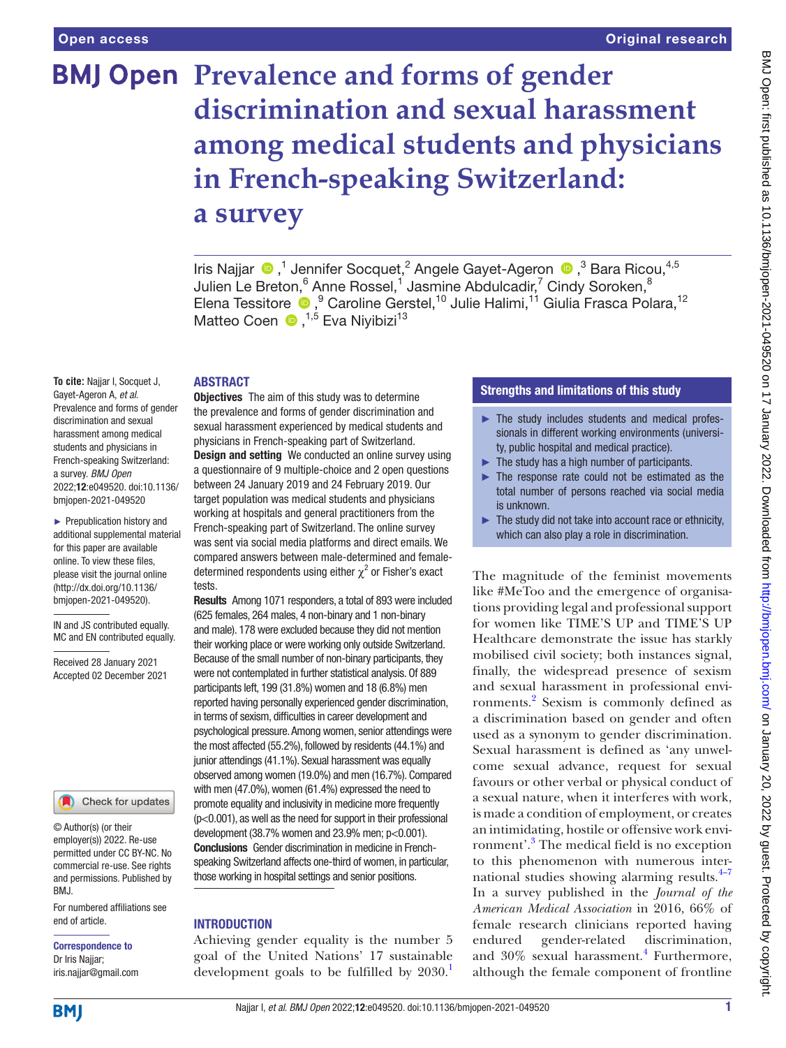# **BMJ Open Prevalence and forms of gender discrimination and sexual harassment among medical students and physicians in French-speaking Switzerland: a survey**

Iris Najjar  $\bigcirc$  ,<sup>1</sup> Jennifer Socquet,<sup>2</sup> Angele Gayet-Ageron  $\bigcirc$  ,<sup>3</sup> Bara Ricou,<sup>4,5</sup> Julien Le Breton, $^6$  Anne Rossel, $^1$  Jasmine Abdulcadir, $^7$  Cindy Soroken, $^8$ Elena Tessitore <sup>®</sup>, <sup>9</sup> Caroline Gerstel, <sup>10</sup> Julie Halimi, <sup>11</sup> Giulia Frasca Polara, <sup>12</sup> Matteo Coen <sup>(D)</sup>,<sup>1,5</sup> Eva Niyibizi<sup>13</sup>

### **ABSTRACT**

**To cite:** Najjar I, Socquet J, Gayet-Ageron A, *et al*. Prevalence and forms of gender discrimination and sexual harassment among medical students and physicians in French-speaking Switzerland: a survey. *BMJ Open* 2022;12:e049520. doi:10.1136/ bmjopen-2021-049520

► Prepublication history and additional supplemental material for this paper are available online. To view these files, please visit the journal online [\(http://dx.doi.org/10.1136/](http://dx.doi.org/10.1136/bmjopen-2021-049520) [bmjopen-2021-049520](http://dx.doi.org/10.1136/bmjopen-2021-049520)).

IN and JS contributed equally. MC and EN contributed equally.

Received 28 January 2021 Accepted 02 December 2021



© Author(s) (or their employer(s)) 2022. Re-use permitted under CC BY-NC. No commercial re-use. See rights and permissions. Published by BMJ.

For numbered affiliations see end of article.

Correspondence to Dr Iris Najjar; iris.najjar@gmail.com

**Objectives** The aim of this study was to determine the prevalence and forms of gender discrimination and sexual harassment experienced by medical students and physicians in French-speaking part of Switzerland. **Design and setting** We conducted an online survey using a questionnaire of 9 multiple-choice and 2 open questions between 24 January 2019 and 24 February 2019. Our target population was medical students and physicians working at hospitals and general practitioners from the French-speaking part of Switzerland. The online survey was sent via social media platforms and direct emails. We compared answers between male-determined and femaledetermined respondents using either  $\chi^2$  or Fisher's exact tests.

Results Among 1071 responders, a total of 893 were included (625 females, 264 males, 4 non-binary and 1 non-binary and male). 178 were excluded because they did not mention their working place or were working only outside Switzerland. Because of the small number of non-binary participants, they were not contemplated in further statistical analysis. Of 889 participants left, 199 (31.8%) women and 18 (6.8%) men reported having personally experienced gender discrimination, in terms of sexism, difficulties in career development and psychological pressure. Among women, senior attendings were the most affected (55.2%), followed by residents (44.1%) and junior attendings (41.1%). Sexual harassment was equally observed among women (19.0%) and men (16.7%). Compared with men (47.0%), women (61.4%) expressed the need to promote equality and inclusivity in medicine more frequently (p<0.001), as well as the need for support in their professional development (38.7% women and 23.9% men;  $p<0.001$ ). Conclusions Gender discrimination in medicine in Frenchspeaking Switzerland affects one-third of women, in particular, those working in hospital settings and senior positions.

# **INTRODUCTION**

Achieving gender equality is the number 5 goal of the United Nations' 17 sustainable development goals to be fulfilled by  $2030$ .

# Strengths and limitations of this study

- ► The study includes students and medical professionals in different working environments (university, public hospital and medical practice).
- $\blacktriangleright$  The study has a high number of participants.
- ► The response rate could not be estimated as the total number of persons reached via social media is unknown.
- $\blacktriangleright$  The study did not take into account race or ethnicity, which can also play a role in discrimination.

The magnitude of the feminist movements like #MeToo and the emergence of organisations providing legal and professional support for women like TIME'S UP and TIME'S UP Healthcare demonstrate the issue has starkly mobilised civil society; both instances signal, finally, the widespread presence of sexism and sexual harassment in professional environments.[2](#page-6-1) Sexism is commonly defined as a discrimination based on gender and often used as a synonym to gender discrimination. Sexual harassment is defined as 'any unwelcome sexual advance, request for sexual favours or other verbal or physical conduct of a sexual nature, when it interferes with work, is made a condition of employment, or creates an intimidating, hostile or offensive work environment'.[3](#page-6-2) The medical field is no exception to this phenomenon with numerous international studies showing alarming results. $4-7$ In a survey published in the *Journal of the American Medical Association* in 2016, 66% of female research clinicians reported having endured gender-related discrimination, and 30% sexual harassment.<sup>[4](#page-6-3)</sup> Furthermore, although the female component of frontline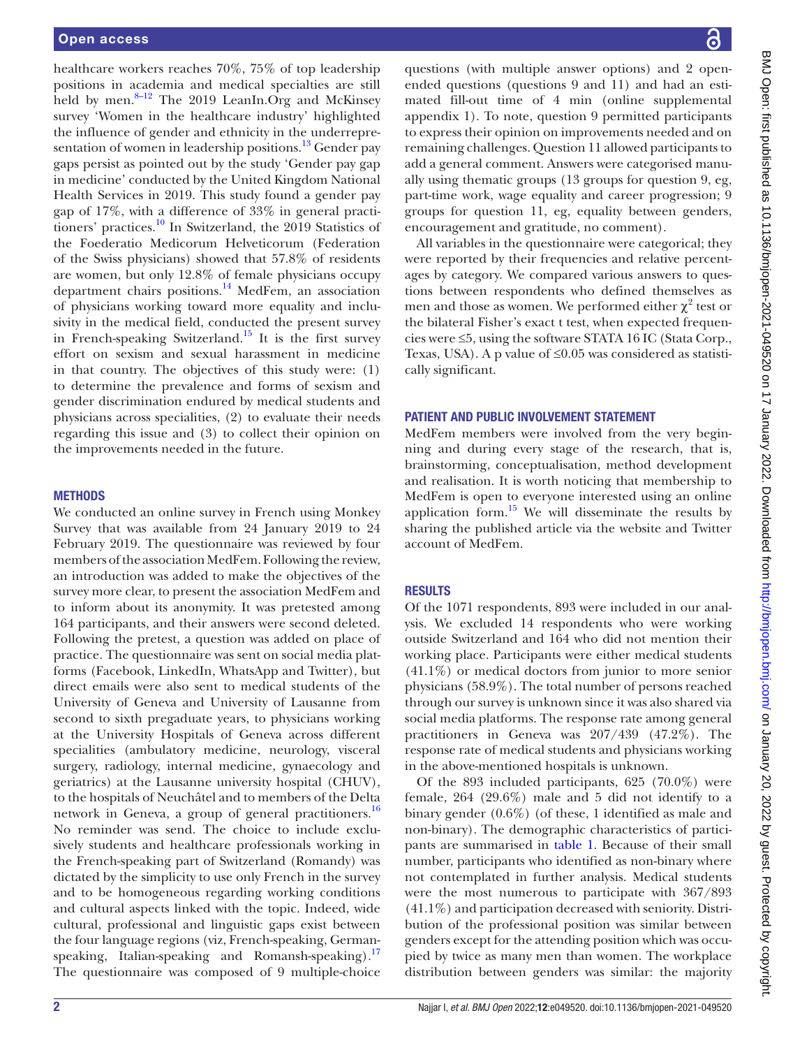healthcare workers reaches 70%, 75% of top leadership positions in academia and medical specialties are still held by men.<sup>8-12</sup> The 2019 LeanIn.Org and McKinsey survey 'Women in the healthcare industry' highlighted the influence of gender and ethnicity in the underrepresentation of women in leadership positions.<sup>13</sup> Gender pay gaps persist as pointed out by the study 'Gender pay gap in medicine' conducted by the United Kingdom National Health Services in 2019. This study found a gender pay gap of 17%, with a difference of 33% in general practitioners' practices[.10](#page-6-6) In Switzerland, the 2019 Statistics of the Foederatio Medicorum Helveticorum (Federation of the Swiss physicians) showed that 57.8% of residents are women, but only 12.8% of female physicians occupy department chairs positions. $14$  MedFem, an association of physicians working toward more equality and inclusivity in the medical field, conducted the present survey in French-speaking Switzerland.<sup>[15](#page-6-8)</sup> It is the first survey effort on sexism and sexual harassment in medicine in that country. The objectives of this study were: (1) to determine the prevalence and forms of sexism and gender discrimination endured by medical students and physicians across specialities, (2) to evaluate their needs regarding this issue and (3) to collect their opinion on the improvements needed in the future.

### **METHODS**

We conducted an online survey in French using Monkey Survey that was available from 24 January 2019 to 24 February 2019. The questionnaire was reviewed by four members of the association MedFem. Following the review, an introduction was added to make the objectives of the survey more clear, to present the association MedFem and to inform about its anonymity. It was pretested among 164 participants, and their answers were second deleted. Following the pretest, a question was added on place of practice. The questionnaire was sent on social media platforms (Facebook, LinkedIn, WhatsApp and Twitter), but direct emails were also sent to medical students of the University of Geneva and University of Lausanne from second to sixth pregaduate years, to physicians working at the University Hospitals of Geneva across different specialities (ambulatory medicine, neurology, visceral surgery, radiology, internal medicine, gynaecology and geriatrics) at the Lausanne university hospital (CHUV), to the hospitals of Neuchâtel and to members of the Delta network in Geneva, a group of general practitioners.<sup>16</sup> No reminder was send. The choice to include exclusively students and healthcare professionals working in the French-speaking part of Switzerland (Romandy) was dictated by the simplicity to use only French in the survey and to be homogeneous regarding working conditions and cultural aspects linked with the topic. Indeed, wide cultural, professional and linguistic gaps exist between the four language regions (viz, French-speaking, German-speaking, Italian-speaking and Romansh-speaking).<sup>[17](#page-6-10)</sup> The questionnaire was composed of 9 multiple-choice

questions (with multiple answer options) and 2 openended questions (questions 9 and 11) and had an estimated fill-out time of 4 min [\(online supplemental](https://dx.doi.org/10.1136/bmjopen-2021-049520)  [appendix 1\)](https://dx.doi.org/10.1136/bmjopen-2021-049520). To note, question 9 permitted participants to express their opinion on improvements needed and on remaining challenges. Question 11 allowed participants to add a general comment. Answers were categorised manually using thematic groups (13 groups for question 9, eg, part-time work, wage equality and career progression; 9 groups for question 11, eg, equality between genders, encouragement and gratitude, no comment).

All variables in the questionnaire were categorical; they were reported by their frequencies and relative percentages by category. We compared various answers to questions between respondents who defined themselves as men and those as women. We performed either  $\chi^2$  test or the bilateral Fisher's exact t test, when expected frequencies were ≤5, using the software STATA 16 IC (Stata Corp., Texas, USA). A p value of  $\leq 0.05$  was considered as statistically significant.

# PATIENT AND PUBLIC INVOLVEMENT STATEMENT

MedFem members were involved from the very beginning and during every stage of the research, that is, brainstorming, conceptualisation, method development and realisation. It is worth noticing that membership to MedFem is open to everyone interested using an online application form.<sup>15</sup> We will disseminate the results by sharing the published article via the website and Twitter account of MedFem.

# RESULTS

Of the 1071 respondents, 893 were included in our analysis. We excluded 14 respondents who were working outside Switzerland and 164 who did not mention their working place. Participants were either medical students (41.1%) or medical doctors from junior to more senior physicians (58.9%). The total number of persons reached through our survey is unknown since it was also shared via social media platforms. The response rate among general practitioners in Geneva was 207/439 (47.2%). The response rate of medical students and physicians working in the above-mentioned hospitals is unknown.

Of the 893 included participants, 625 (70.0%) were female, 264 (29.6%) male and 5 did not identify to a binary gender (0.6%) (of these, 1 identified as male and non-binary). The demographic characteristics of participants are summarised in [table](#page-2-0) 1. Because of their small number, participants who identified as non-binary where not contemplated in further analysis. Medical students were the most numerous to participate with 367/893 (41.1%) and participation decreased with seniority. Distribution of the professional position was similar between genders except for the attending position which was occupied by twice as many men than women. The workplace distribution between genders was similar: the majority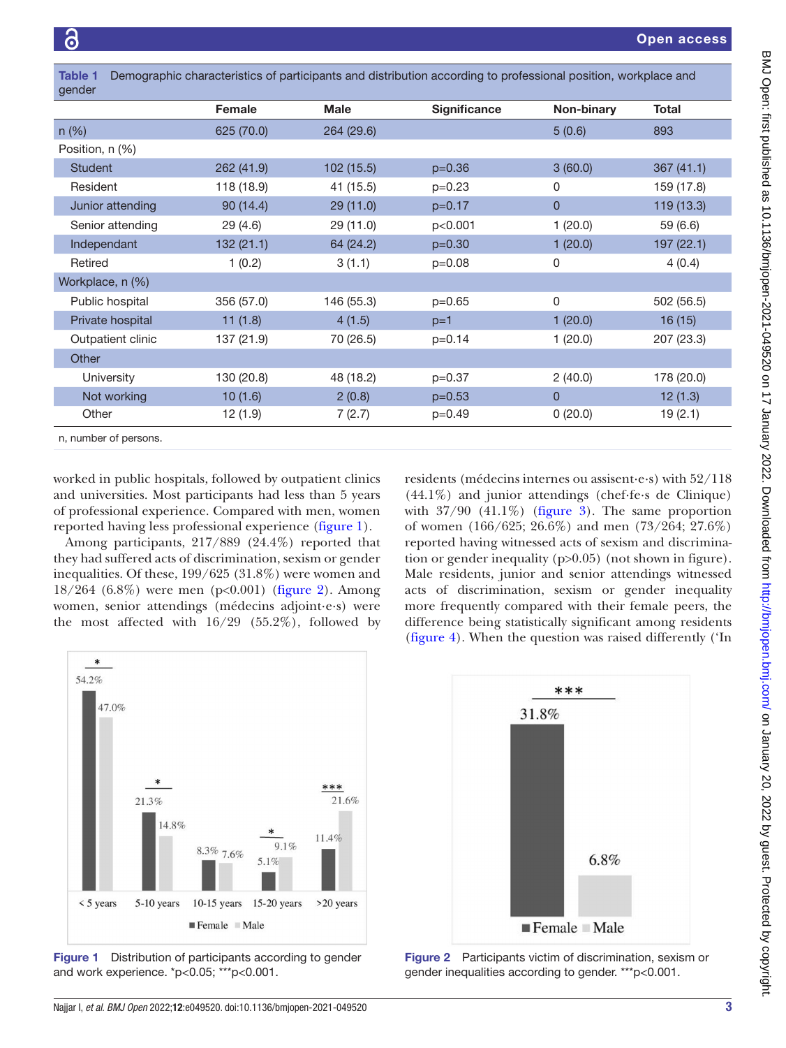<span id="page-2-0"></span>

| Demographic characteristics of participants and distribution according to professional position, workplace and<br><b>Table 1</b><br>gender |            |             |                     |            |              |
|--------------------------------------------------------------------------------------------------------------------------------------------|------------|-------------|---------------------|------------|--------------|
|                                                                                                                                            | Female     | <b>Male</b> | <b>Significance</b> | Non-binary | <b>Total</b> |
| $n$ (%)                                                                                                                                    | 625 (70.0) | 264 (29.6)  |                     | 5(0.6)     | 893          |
| Position, n (%)                                                                                                                            |            |             |                     |            |              |
| <b>Student</b>                                                                                                                             | 262 (41.9) | 102 (15.5)  | $p=0.36$            | 3(60.0)    | 367(41.1)    |
| Resident                                                                                                                                   | 118 (18.9) | 41 (15.5)   | $p=0.23$            | 0          | 159 (17.8)   |
| Junior attending                                                                                                                           | 90(14.4)   | 29(11.0)    | $p=0.17$            | 0          | 119 (13.3)   |
| Senior attending                                                                                                                           | 29 (4.6)   | 29 (11.0)   | p<0.001             | 1(20.0)    | 59 (6.6)     |
| Independant                                                                                                                                | 132(21.1)  | 64 (24.2)   | $p=0.30$            | 1(20.0)    | 197 (22.1)   |
| Retired                                                                                                                                    | 1(0.2)     | 3(1.1)      | $p=0.08$            | 0          | 4(0.4)       |
| Workplace, n (%)                                                                                                                           |            |             |                     |            |              |
| Public hospital                                                                                                                            | 356 (57.0) | 146 (55.3)  | $p=0.65$            | 0          | 502 (56.5)   |
| Private hospital                                                                                                                           | 11(1.8)    | 4(1.5)      | $p=1$               | 1(20.0)    | 16(15)       |
| Outpatient clinic                                                                                                                          | 137 (21.9) | 70 (26.5)   | $p=0.14$            | 1(20.0)    | 207 (23.3)   |
| Other                                                                                                                                      |            |             |                     |            |              |
| University                                                                                                                                 | 130 (20.8) | 48 (18.2)   | $p=0.37$            | 2(40.0)    | 178 (20.0)   |
| Not working                                                                                                                                | 10(1.6)    | 2(0.8)      | $p=0.53$            | 0          | 12(1.3)      |
| Other                                                                                                                                      | 12(1.9)    | 7(2.7)      | $p=0.49$            | 0(20.0)    | 19(2.1)      |
| n, number of persons.                                                                                                                      |            |             |                     |            |              |

worked in public hospitals, followed by outpatient clinics and universities. Most participants had less than 5 years of professional experience. Compared with men, women reported having less professional experience [\(figure](#page-2-1) 1).

Among participants, 217/889 (24.4%) reported that they had suffered acts of discrimination, sexism or gender inequalities. Of these, 199/625 (31.8%) were women and 18/264 (6.8%) were men (p<0.001) [\(figure](#page-2-2) 2). Among women, senior attendings (médecins adjoint·e·s) were the most affected with 16/29 (55.2%), followed by residents (médecins internes ou assisent·e·s) with 52/118 (44.1%) and junior attendings (chef·fe·s de Clinique) with  $37/90$  (41.1%) ([figure](#page-3-0) 3). The same proportion of women (166/625; 26.6%) and men (73/264; 27.6%) reported having witnessed acts of sexism and discrimination or gender inequality (p>0.05) (not shown in figure). Male residents, junior and senior attendings witnessed acts of discrimination, sexism or gender inequality more frequently compared with their female peers, the difference being statistically significant among residents [\(figure](#page-3-1) 4). When the question was raised differently ('In



<span id="page-2-1"></span>Figure 1 Distribution of participants according to gender and work experience. \*p<0.05; \*\*\*p<0.001.



<span id="page-2-2"></span>Figure 2 Participants victim of discrimination, sexism or gender inequalities according to gender. \*\*\*p<0.001.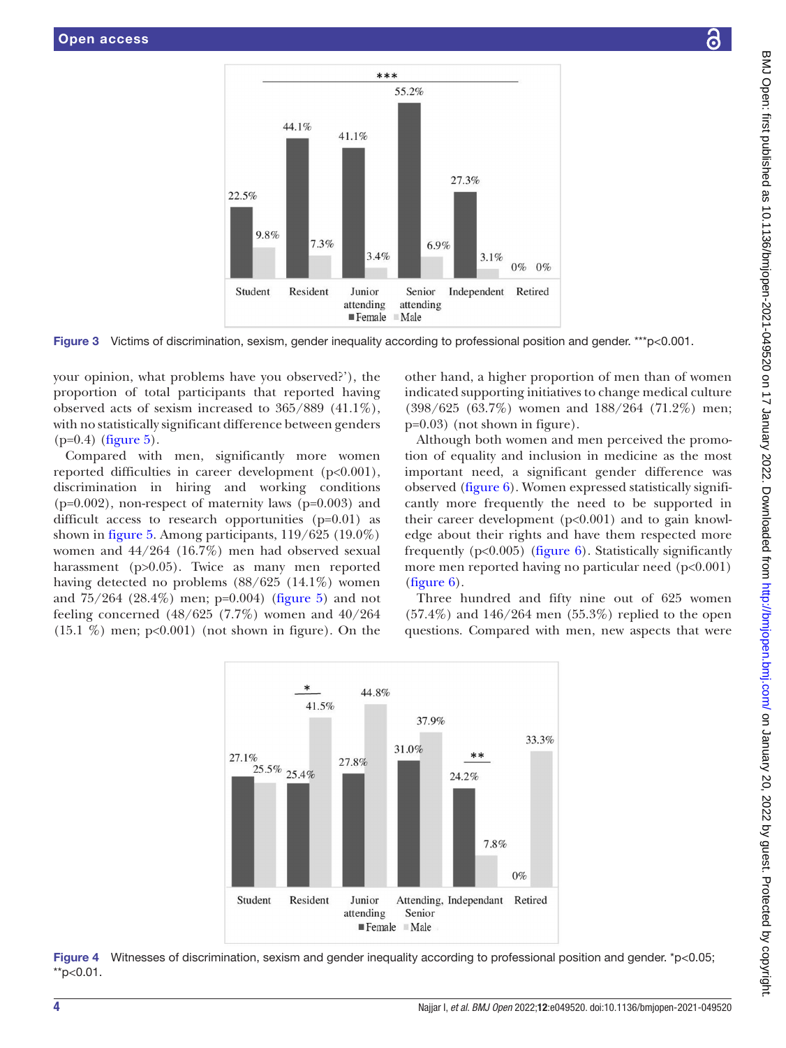

Figure 3 Victims of discrimination, sexism, gender inequality according to professional position and gender. \*\*\*p<0.001.

your opinion, what problems have you observed?'), the proportion of total participants that reported having observed acts of sexism increased to 365/889 (41.1%), with no statistically significant difference between genders  $(p=0.4)$  [\(figure](#page-4-0) 5).

Compared with men, significantly more women reported difficulties in career development (p<0.001), discrimination in hiring and working conditions (p=0.002), non-respect of maternity laws (p=0.003) and difficult access to research opportunities (p=0.01) as shown in [figure](#page-4-0) 5. Among participants, 119/625 (19.0%) women and 44/264 (16.7%) men had observed sexual harassment (p>0.05). Twice as many men reported having detected no problems (88/625 (14.1%) women and 75/264 (28.4%) men; p=0.004) ([figure](#page-4-0) 5) and not feeling concerned (48/625 (7.7%) women and 40/264  $(15.1 \%)$  men; p<0.001) (not shown in figure). On the

<span id="page-3-0"></span>other hand, a higher proportion of men than of women indicated supporting initiatives to change medical culture (398/625 (63.7%) women and 188/264 (71.2%) men; p=0.03) (not shown in figure).

Although both women and men perceived the promotion of equality and inclusion in medicine as the most important need, a significant gender difference was observed ([figure](#page-4-1) 6). Women expressed statistically significantly more frequently the need to be supported in their career development  $(p<0.001)$  and to gain knowledge about their rights and have them respected more frequently  $(p<0.005)$  [\(figure](#page-4-1) 6). Statistically significantly more men reported having no particular need (p<0.001) [\(figure](#page-4-1) 6).

Three hundred and fifty nine out of 625 women  $(57.4\%)$  and  $146/264$  men  $(55.3\%)$  replied to the open questions. Compared with men, new aspects that were

<span id="page-3-1"></span>

Figure 4 Witnesses of discrimination, sexism and gender inequality according to professional position and gender. \*p<0.05; \*\*p<0.01.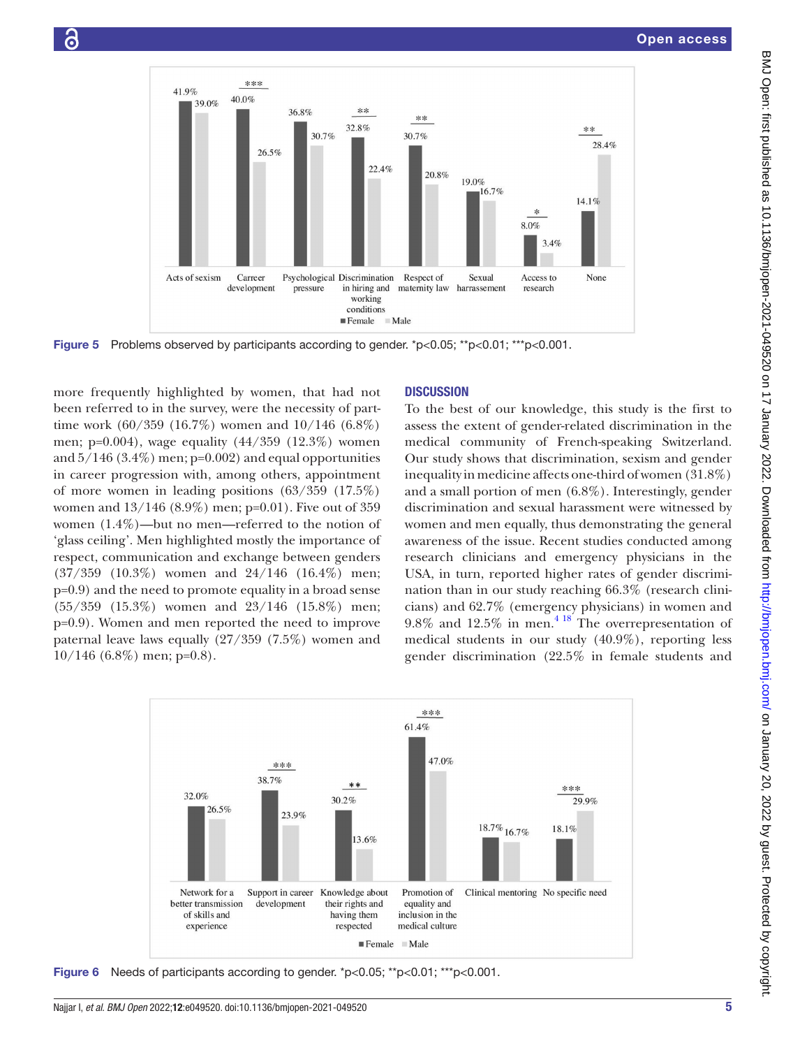

Figure 5 Problems observed by participants according to gender. \*p<0.05; \*\*p<0.01; \*\*\*p<0.001.

more frequently highlighted by women, that had not been referred to in the survey, were the necessity of parttime work (60/359 (16.7%) women and 10/146 (6.8%) men; p=0.004), wage equality (44/359 (12.3%) women and  $5/146$  (3.4%) men; p=0.002) and equal opportunities in career progression with, among others, appointment of more women in leading positions (63/359 (17.5%) women and 13/146 (8.9%) men; p=0.01). Five out of 359 women (1.4%)—but no men—referred to the notion of 'glass ceiling'. Men highlighted mostly the importance of respect, communication and exchange between genders (37/359 (10.3%) women and 24/146 (16.4%) men; p=0.9) and the need to promote equality in a broad sense (55/359 (15.3%) women and 23/146 (15.8%) men; p=0.9). Women and men reported the need to improve paternal leave laws equally (27/359 (7.5%) women and  $10/146$  (6.8%) men; p=0.8).

# <span id="page-4-0"></span>**DISCUSSION**

To the best of our knowledge, this study is the first to assess the extent of gender-related discrimination in the medical community of French-speaking Switzerland. Our study shows that discrimination, sexism and gender inequality in medicine affects one-third of women (31.8%) and a small portion of men (6.8%). Interestingly, gender discrimination and sexual harassment were witnessed by women and men equally, thus demonstrating the general awareness of the issue. Recent studies conducted among research clinicians and emergency physicians in the USA, in turn, reported higher rates of gender discrimination than in our study reaching 66.3% (research clinicians) and 62.7% (emergency physicians) in women and  $9.8\%$  and  $12.5\%$  in men.<sup>4 18</sup> The overrepresentation of medical students in our study (40.9%), reporting less gender discrimination (22.5% in female students and



<span id="page-4-1"></span>**Figure 6** Needs of participants according to gender.  $p<0.05$ ;  $p<0.01$ ;  $p<0.001$ .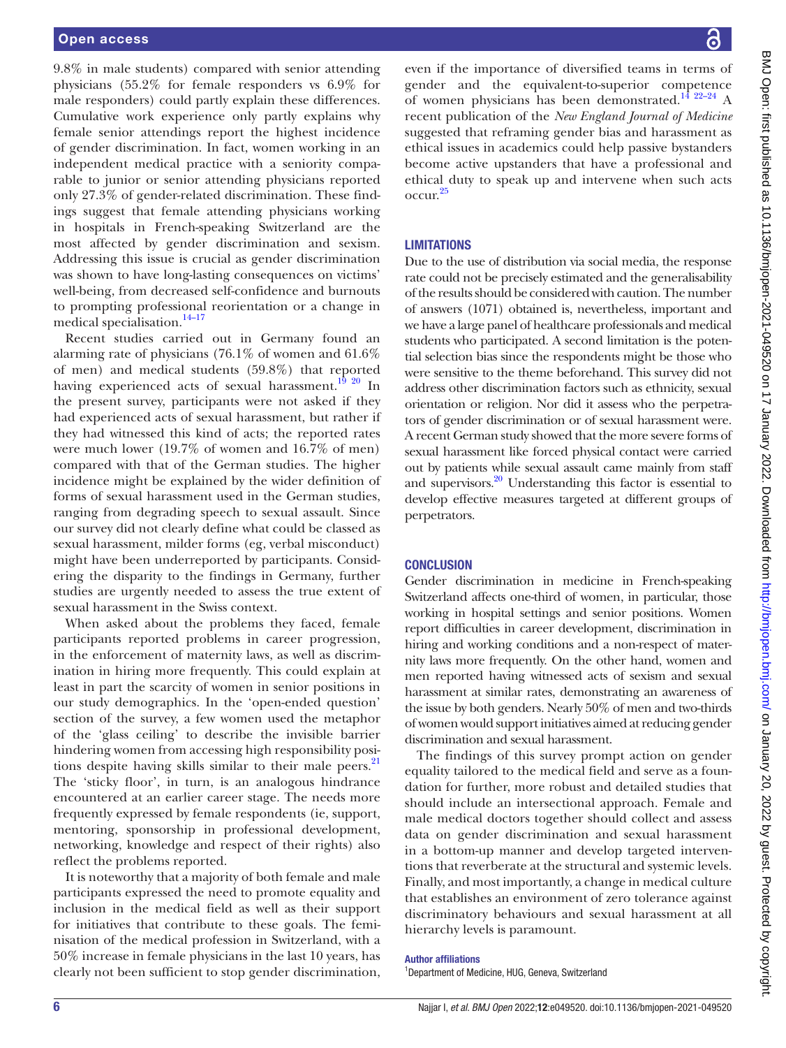9.8% in male students) compared with senior attending physicians (55.2% for female responders vs 6.9% for male responders) could partly explain these differences. Cumulative work experience only partly explains why female senior attendings report the highest incidence of gender discrimination. In fact, women working in an independent medical practice with a seniority comparable to junior or senior attending physicians reported only 27.3% of gender-related discrimination. These findings suggest that female attending physicians working in hospitals in French-speaking Switzerland are the most affected by gender discrimination and sexism. Addressing this issue is crucial as gender discrimination was shown to have long-lasting consequences on victims' well-being, from decreased self-confidence and burnouts to prompting professional reorientation or a change in medical specialisation.<sup>14–17</sup>

Recent studies carried out in Germany found an alarming rate of physicians (76.1% of women and 61.6% of men) and medical students (59.8%) that reported having experienced acts of sexual harassment.<sup>[19 20](#page-6-11)</sup> In the present survey, participants were not asked if they had experienced acts of sexual harassment, but rather if they had witnessed this kind of acts; the reported rates were much lower (19.7% of women and 16.7% of men) compared with that of the German studies. The higher incidence might be explained by the wider definition of forms of sexual harassment used in the German studies, ranging from degrading speech to sexual assault. Since our survey did not clearly define what could be classed as sexual harassment, milder forms (eg, verbal misconduct) might have been underreported by participants. Considering the disparity to the findings in Germany, further studies are urgently needed to assess the true extent of sexual harassment in the Swiss context.

When asked about the problems they faced, female participants reported problems in career progression, in the enforcement of maternity laws, as well as discrimination in hiring more frequently. This could explain at least in part the scarcity of women in senior positions in our study demographics. In the 'open-ended question' section of the survey, a few women used the metaphor of the 'glass ceiling' to describe the invisible barrier hindering women from accessing high responsibility positions despite having skills similar to their male peers.<sup>21</sup> The 'sticky floor', in turn, is an analogous hindrance encountered at an earlier career stage. The needs more frequently expressed by female respondents (ie, support, mentoring, sponsorship in professional development, networking, knowledge and respect of their rights) also reflect the problems reported.

It is noteworthy that a majority of both female and male participants expressed the need to promote equality and inclusion in the medical field as well as their support for initiatives that contribute to these goals. The feminisation of the medical profession in Switzerland, with a 50% increase in female physicians in the last 10 years, has clearly not been sufficient to stop gender discrimination,

even if the importance of diversified teams in terms of gender and the equivalent-to-superior competence of women physicians has been demonstrated.<sup>14 22-24</sup> A recent publication of the *New England Journal of Medicine* suggested that reframing gender bias and harassment as ethical issues in academics could help passive bystanders become active upstanders that have a professional and ethical duty to speak up and intervene when such acts occur[.25](#page-6-13)

# **LIMITATIONS**

Due to the use of distribution via social media, the response rate could not be precisely estimated and the generalisability of the results should be considered with caution. The number of answers (1071) obtained is, nevertheless, important and we have a large panel of healthcare professionals and medical students who participated. A second limitation is the potential selection bias since the respondents might be those who were sensitive to the theme beforehand. This survey did not address other discrimination factors such as ethnicity, sexual orientation or religion. Nor did it assess who the perpetrators of gender discrimination or of sexual harassment were. A recent German study showed that the more severe forms of sexual harassment like forced physical contact were carried out by patients while sexual assault came mainly from staff and supervisors[.20](#page-6-14) Understanding this factor is essential to develop effective measures targeted at different groups of perpetrators.

### **CONCLUSION**

Gender discrimination in medicine in French-speaking Switzerland affects one-third of women, in particular, those working in hospital settings and senior positions. Women report difficulties in career development, discrimination in hiring and working conditions and a non-respect of maternity laws more frequently. On the other hand, women and men reported having witnessed acts of sexism and sexual harassment at similar rates, demonstrating an awareness of the issue by both genders. Nearly 50% of men and two-thirds of women would support initiatives aimed at reducing gender discrimination and sexual harassment.

The findings of this survey prompt action on gender equality tailored to the medical field and serve as a foundation for further, more robust and detailed studies that should include an intersectional approach. Female and male medical doctors together should collect and assess data on gender discrimination and sexual harassment in a bottom-up manner and develop targeted interventions that reverberate at the structural and systemic levels. Finally, and most importantly, a change in medical culture that establishes an environment of zero tolerance against discriminatory behaviours and sexual harassment at all hierarchy levels is paramount.

#### Author affiliations

<sup>1</sup>Department of Medicine, HUG, Geneva, Switzerland